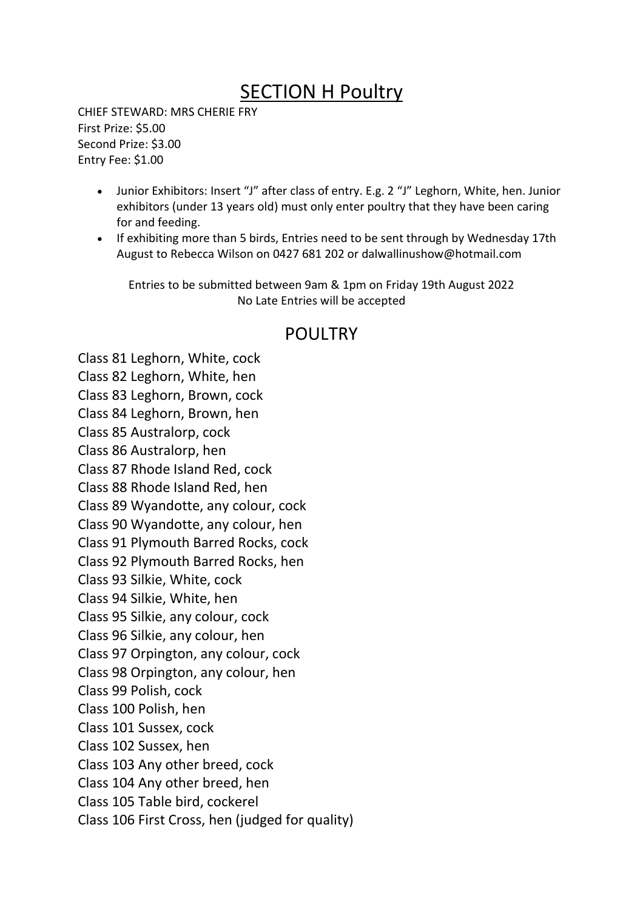## SECTION H Poultry

CHIEF STEWARD: MRS CHERIE FRY First Prize: \$5.00 Second Prize: \$3.00 Entry Fee: \$1.00

- Junior Exhibitors: Insert "J" after class of entry. E.g. 2 "J" Leghorn, White, hen. Junior exhibitors (under 13 years old) must only enter poultry that they have been caring for and feeding.
- If exhibiting more than 5 birds, Entries need to be sent through by Wednesday 17th August to Rebecca Wilson on 0427 681 202 or dalwallinushow@hotmail.com

Entries to be submitted between 9am & 1pm on Friday 19th August 2022 No Late Entries will be accepted

## POULTRY

Class 81 Leghorn, White, cock Class 82 Leghorn, White, hen Class 83 Leghorn, Brown, cock Class 84 Leghorn, Brown, hen Class 85 Australorp, cock Class 86 Australorp, hen Class 87 Rhode Island Red, cock Class 88 Rhode Island Red, hen Class 89 Wyandotte, any colour, cock Class 90 Wyandotte, any colour, hen Class 91 Plymouth Barred Rocks, cock Class 92 Plymouth Barred Rocks, hen Class 93 Silkie, White, cock Class 94 Silkie, White, hen Class 95 Silkie, any colour, cock Class 96 Silkie, any colour, hen Class 97 Orpington, any colour, cock Class 98 Orpington, any colour, hen Class 99 Polish, cock Class 100 Polish, hen Class 101 Sussex, cock Class 102 Sussex, hen Class 103 Any other breed, cock Class 104 Any other breed, hen Class 105 Table bird, cockerel Class 106 First Cross, hen (judged for quality)